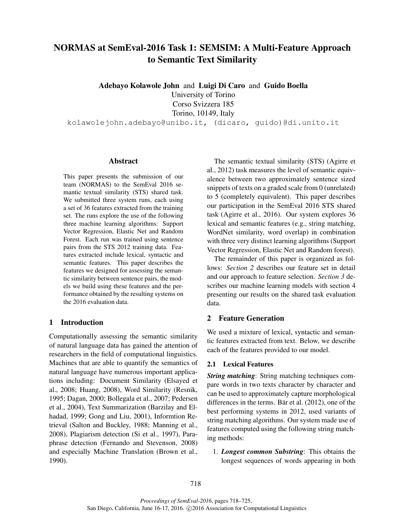# NORMAS at SemEval-2016 Task 1: SEMSIM: A Multi-Feature Approach to Semantic Text Similarity

Adebayo Kolawole John and Luigi Di Caro and Guido Boella

University of Torino Corso Svizzera 185

Torino, 10149, Italy

kolawolejohn.adebayo@unibo.it, (dicaro, guido)@di.unito.it

## Abstract

This paper presents the submission of our team (NORMAS) to the SemEval 2016 semantic textual similarity (STS) shared task. We submitted three system runs, each using a set of 36 features extracted from the training set. The runs explore the use of the following three machine learning algorithms: Support Vector Regression, Elastic Net and Random Forest. Each run was trained using sentence pairs from the STS 2012 training data. Features extracted include lexical, syntactic and semantic features. This paper describes the features we designed for assessing the semantic similarity between sentence pairs, the models we build using these features and the performance obtained by the resulting systems on the 2016 evaluation data.

## 1 Introduction

Computationally assessing the semantic similarity of natural language data has gained the attention of researchers in the field of computational linguistics. Machines that are able to quantify the semantics of natural language have numerous important applications including: Document Similarity (Elsayed et al., 2008; Huang, 2008), Word Similarity (Resnik, 1995; Dagan, 2000; Bollegala et al., 2007; Pedersen et al., 2004), Text Summarization (Barzilay and Elhadad, 1999; Gong and Liu, 2001), Informtion Retrieval (Salton and Buckley, 1988; Manning et al., 2008), Plagiarism detection (Si et al., 1997), Paraphrase detection (Fernando and Stevenson, 2008) and especially Machine Translation (Brown et al., 1990).

The semantic textual similarity (STS) (Agirre et al., 2012) task measures the level of semantic equivalence between two approximately sentence sized snippets of texts on a graded scale from 0 (unrelated) to 5 (completely equivalent). This paper describes our participation in the SemEval 2016 STS shared task (Agirre et al., 2016). Our system explores 36 lexical and semantic features (e.g., string matching, WordNet similarity, word overlap) in combination with three very distinct learning algorithms (Support Vector Regression, Elastic Net and Random forest).

The remainder of this paper is organized as follows: *Section 2* describes our feature set in detail and our approach to feature selection. *Section 3* describes our machine learning models with section 4 presenting our results on the shared task evaluation data.

# 2 Feature Generation

We used a mixture of lexical, syntactic and semantic features extracted from text. Below, we describe each of the features provided to our model.

### 2.1 Lexical Features

*String matching*: String matching techniques compare words in two texts character by character and can be used to approximately capture morphological differences in the terms. Bär et al.  $(2012)$ , one of the best performing systems in 2012, used variants of string matching algorithms. Our system made use of features computed using the following string matching methods:

1. *Longest common Substring*: This obtains the longest sequences of words appearing in both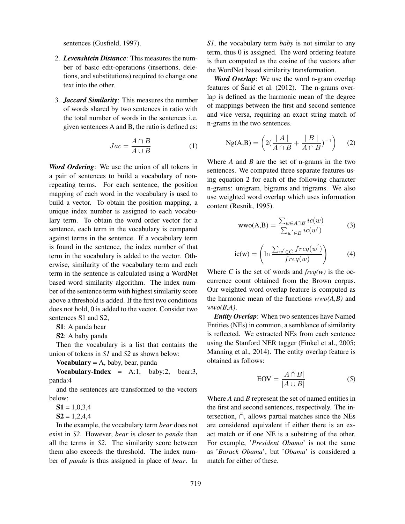sentences (Gusfield, 1997).

- 2. *Levenshtein Distance*: This measures the number of basic edit-operations (insertions, deletions, and substitutions) required to change one text into the other.
- 3. *Jaccard Similarity*: This measures the number of words shared by two sentences in ratio with the total number of words in the sentences i.e. given sentences A and B, the ratio is defined as:

$$
Jac = \frac{A \cap B}{A \cup B} \tag{1}
$$

*Word Ordering*: We use the union of all tokens in a pair of sentences to build a vocabulary of nonrepeating terms. For each sentence, the position mapping of each word in the vocabulary is used to build a vector. To obtain the position mapping, a unique index number is assigned to each vocabulary term. To obtain the word order vector for a sentence, each term in the vocabulary is compared against terms in the sentence. If a vocabulary term is found in the sentence, the index number of that term in the vocabulary is added to the vector. Otherwise, similarity of the vocabulary term and each term in the sentence is calculated using a WordNet based word similarity algorithm. The index number of the sentence term with highest similarity score above a threshold is added. If the first two conditions does not hold, 0 is added to the vector. Consider two sentences S1 and S2,

S1: A panda bear

S2: A baby panda

Then the vocabulary is a list that contains the union of tokens in *S1* and *S2* as shown below:

Vocabulary  $= A$ , baby, bear, panda

Vocabulary-Index =  $A:1$ , baby:2, bear:3, panda:4

and the sentences are transformed to the vectors below:

 $S1 = 1,0,3,4$ 

 $S2 = 1,2,4,4$ 

In the example, the vocabulary term *bear* does not exist in *S2*. However, *bear* is closer to *panda* than all the terms in *S2*. The similarity score between them also exceeds the threshold. The index number of *panda* is thus assigned in place of *bear*. In *S1*, the vocabulary term *baby* is not similar to any term, thus 0 is assigned. The word ordering feature is then computed as the cosine of the vectors after the WordNet based similarity transformation.

*Word Overlap*: We use the word n-gram overlap features of Šarić et al.  $(2012)$ . The n-grams overlap is defined as the harmonic mean of the degree of mappings between the first and second sentence and vice versa, requiring an exact string match of n-grams in the two sentences.

$$
Ng(A,B) = \left(2\left(\frac{|A|}{A \cap B} + \frac{|B|}{A \cap B}\right)^{-1}\right) \quad (2)
$$

Where *A* and *B* are the set of n-grams in the two sentences. We computed three separate features using equation 2 for each of the following character n-grams: unigram, bigrams and trigrams. We also use weighted word overlap which uses information content (Resnik, 1995).

$$
wwo(A,B) = \frac{\sum_{w \in A \cap B} ic(w)}{\sum_{w' \in B} ic(w')}
$$
 (3)

$$
ic(w) = \left(\ln \frac{\sum_{w' \in C} freq(w')}{freq(w)}\right) \tag{4}
$$

Where *C* is the set of words and  $freq(w)$  is the occurrence count obtained from the Brown corpus. Our weighted word overlap feature is computed as the harmonic mean of the functions *wwo(A,B)* and *wwo(B,A)*.

*Entity Overlap*: When two sentences have Named Entities (NEs) in common, a semblance of similarity is reflected. We extracted NEs from each sentence using the Stanford NER tagger (Finkel et al., 2005; Manning et al., 2014). The entity overlap feature is obtained as follows:

$$
EOV = \frac{|A \cap B|}{|A \cup B|} \tag{5}
$$

Where *A* and *B* represent the set of named entities in the first and second sentences, respectively. The intersection,  $\tilde{\cap}$ , allows partial matches since the NEs are considered equivalent if either there is an exact match or if one NE is a substring of the other. For example, '*President Obama*' is not the same as '*Barack Obama*', but '*Obama*' is considered a match for either of these.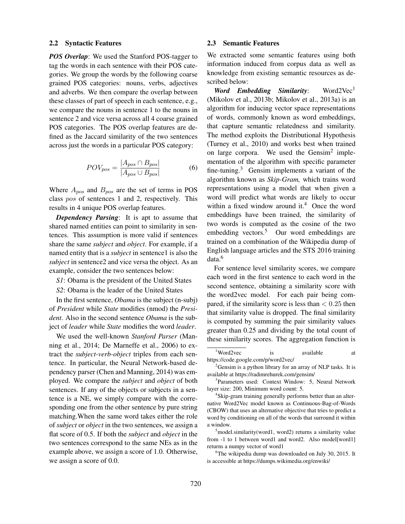#### 2.2 Syntactic Features

*POS Overlap*: We used the Stanford POS-tagger to tag the words in each sentence with their POS categories. We group the words by the following coarse grained POS categories: nouns, verbs, adjectives and adverbs. We then compare the overlap between these classes of part of speech in each sentence, e.g., we compare the nouns in sentence 1 to the nouns in sentence 2 and vice versa across all 4 coarse grained POS categories. The POS overlap features are defined as the Jaccard similarity of the two sentences across just the words in a particular POS category:

$$
POV_{pos} = \frac{|A_{pos} \cap B_{pos}|}{|A_{pos} \cup B_{pos}|}
$$
(6)

Where  $A_{pos}$  and  $B_{pos}$  are the set of terms in POS class pos of sentences 1 and 2, respectively. This results in 4 unique POS overlap features.

*Dependency Parsing*: It is apt to assume that shared named entities can point to similarity in sentences. This assumption is more valid if sentences share the same *subject* and *object*. For example, if a named entity that is a *subject* in sentence1 is also the *subject* in sentence2 and vice versa the object. As an example, consider the two sentences below:

*S1*: Obama is the president of the United States

*S2*: Obama is the leader of the United States

In the first sentence, *Obama* is the subject (n-subj) of *President* while *State* modifies (nmod) the *President*. Also in the second sentence *Obama* is the subject of *leader* while *State* modifies the word *leader*.

We used the well-known *Stanford Parser* (Manning et al., 2014; De Marneffe et al., 2006) to extract the *subject-verb-object* triples from each sentence. In particular, the Neural Network-based dependency parser (Chen and Manning, 2014) was employed. We compare the *subject* and *object* of both sentences. If any of the objects or subjects in a sentence is a NE, we simply compare with the corresponding one from the other sentence by pure string matching.When the same word takes either the role of *subject* or *object* in the two sentences, we assign a flat score of 0.5. If both the *subject* and *object* in the two sentences correspond to the same NEs as in the example above, we assign a score of 1.0. Otherwise, we assign a score of 0.0.

#### 2.3 Semantic Features

We extracted some semantic features using both information induced from corpus data as well as knowledge from existing semantic resources as described below:

Word Embedding Similarity: Word2Vec<sup>1</sup> (Mikolov et al., 2013b; Mikolov et al., 2013a) is an algorithm for inducing vector space representations of words, commonly known as word embeddings, that capture semantic relatedness and similarity. The method exploits the Distributional Hypothesis (Turney et al., 2010) and works best when trained on large corpora. We used the Gensim<sup>2</sup> implementation of the algorithm with specific parameter fine-tuning. $3$  Gensim implements a variant of the algorithm known as *Skip-Gram,* which trains word representations using a model that when given a word will predict what words are likely to occur within a fixed window around it.<sup>4</sup> Once the word embeddings have been trained, the similarity of two words is computed as the cosine of the two embedding vectors.<sup>5</sup> Our word embeddings are trained on a combination of the Wikipedia dump of English language articles and the STS 2016 training data.<sup>6</sup>

For sentence level similarity scores, we compare each word in the first sentence to each word in the second sentence, obtaining a similarity score with the word2vec model. For each pair being compared, if the similarity score is less than  $< 0.25$  then that similarity value is dropped. The final similarity is computed by summing the pair similarity values greater than 0.25 and dividing by the total count of these similarity scores. The aggregation function is

<sup>&</sup>lt;sup>1</sup>Word2vec is available at https://code.google.com/p/word2vec/

 $2<sup>2</sup>$ Gensim is a python library for an array of NLP tasks. It is available at https://radimrehurek.com/gensim/

<sup>&</sup>lt;sup>3</sup>Parameters used: Context Window: 5, Neural Network layer size: 200, Minimum word count: 5.

<sup>4</sup> Skip-gram training generally performs better than an alternative Word2Vec model known as Continuous-Bag-of-Words (CBOW) that uses an alternative objective that tries to predict a word by conditioning on all of the words that surround it within a window.

 $5$ model.similarity(word1, word2) returns a similarity value from -1 to 1 between word1 and word2. Also model[word1] returns a numpy vector of word1

<sup>&</sup>lt;sup>6</sup>The wikipedia dump was downloaded on July 30, 2015. It is accessible at https://dumps.wikimedia.org/enwiki/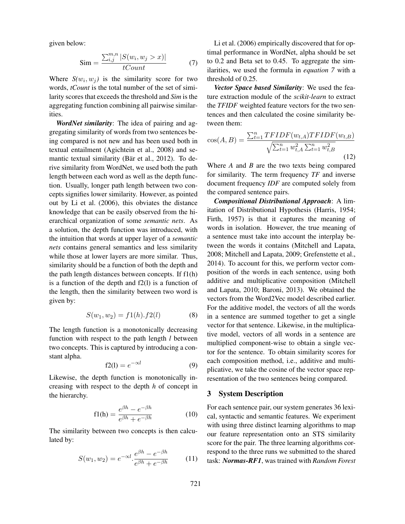given below:

$$
\text{Sim} = \frac{\sum_{i,j}^{m,n} |S(w_i, w_j > x)|}{tCount} \tag{7}
$$

Where  $S(w_i, w_j)$  is the similarity score for two words, *tCount* is the total number of the set of similarity scores that exceeds the threshold and *Sim* is the aggregating function combining all pairwise similarities.

*WordNet similarity*: The idea of pairing and aggregating similarity of words from two sentences being compared is not new and has been used both in textual entailment (Agichtein et al., 2008) and semantic textual similarity (Bär et al., 2012). To derive similarity from WordNet, we used both the path length between each word as well as the depth function. Usually, longer path length between two concepts signifies lower similarity. However, as pointed out by Li et al. (2006), this obviates the distance knowledge that can be easily observed from the hierarchical organization of some *semantic nets*. As a solution, the depth function was introduced, with the intuition that words at upper layer of a *semantic nets* contains general semantics and less similarity while those at lower layers are more similar. Thus, similarity should be a function of both the depth and the path length distances between concepts. If f1(h) is a function of the depth and f2(l) is a function of the length, then the similarity between two word is given by:

$$
S(w_1, w_2) = f1(h).f2(l)
$$
 (8)

The length function is a monotonically decreasing function with respect to the path length *l* between two concepts. This is captured by introducing a constant alpha.

$$
f2(l) = e^{-\alpha l} \tag{9}
$$

Likewise, the depth function is monotonically increasing with respect to the depth *h* of concept in the hierarchy.

$$
f1(h) = \frac{e^{\beta h} - e^{-\beta h}}{e^{\beta h} + e^{-\beta h}}
$$
 (10)

The similarity between two concepts is then calculated by:

$$
S(w_1, w_2) = e^{-\alpha l} \cdot \frac{e^{\beta h} - e^{-\beta h}}{e^{\beta h} + e^{-\beta h}}
$$
 (11)

Li et al. (2006) empirically discovered that for optimal performance in WordNet, alpha should be set to 0.2 and Beta set to 0.45. To aggregate the similarities, we used the formula in *equation 7* with a threshold of 0.25.

*Vector Space based Similarity*: We used the feature extraction module of the *scikit-learn* to extract the *TFIDF* weighted feature vectors for the two sentences and then calculated the cosine similarity between them:

$$
\cos(A, B) = \frac{\sum_{t=1}^{n} TFIDF(w_{t,A})TFIDF(w_{t,B})}{\sqrt{\sum_{t=1}^{n} w_{t,A}^{2} \sum_{t=1}^{n} w_{t,B}^{2}}}
$$
(12)

Where *A* and *B* are the two texts being compared for similarity. The term frequency *TF* and inverse document frequency *IDF* are computed solely from the compared sentence pairs.

*Compositional Distributional Approach*: A limitation of Distributional Hypothesis (Harris, 1954; Firth, 1957) is that it captures the meaning of words in isolation. However, the true meaning of a sentence must take into account the interplay between the words it contains (Mitchell and Lapata, 2008; Mitchell and Lapata, 2009; Grefenstette et al., 2014). To account for this, we perform vector composition of the words in each sentence, using both additive and multiplicative composition (Mitchell and Lapata, 2010; Baroni, 2013). We obtained the vectors from the Word2Vec model described earlier. For the additive model, the vectors of all the words in a sentence are summed together to get a single vector for that sentence. Likewise, in the multiplicative model, vectors of all words in a sentence are multiplied component-wise to obtain a single vector for the sentence. To obtain similarity scores for each composition method, i.e., additive and multiplicative, we take the cosine of the vector space representation of the two sentences being compared.

#### 3 System Description

For each sentence pair, our system generates 36 lexical, syntactic and semantic features. We experiment with using three distinct learning algorithms to map our feature representation onto an STS similarity score for the pair. The three learning algorithms correspond to the three runs we submitted to the shared task: *Normas-RF1*, was trained with *Random Forest*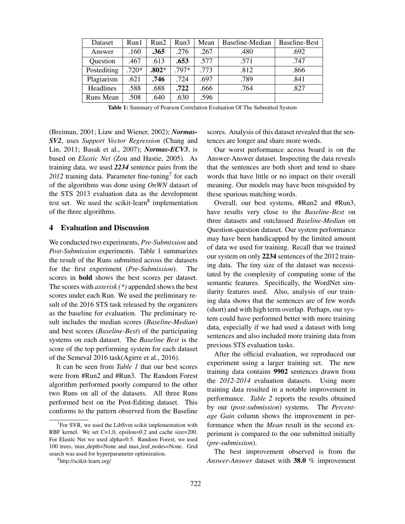| Dataset     | Run1    | Run2    | Run3    | Mean | Baseline-Median | <b>Baseline-Best</b> |
|-------------|---------|---------|---------|------|-----------------|----------------------|
| Answer      | .160    | .365    | .276    | .267 | .480            | .692                 |
| Question    | .467    | .613    | .653    | .577 | .571            | .747                 |
| Postediting | $.720*$ | $.802*$ | $.797*$ | .773 | .812            | .866                 |
| Plagiarism  | .621    | .746    | .724    | .697 | .789            | .841                 |
| Headlines   | .588    | .688    | .722    | .666 | .764            | .827                 |
| Runs Mean   | .508    | .640    | .630    | .596 |                 |                      |

Table 1: Summary of Pearson Correlation Evaluation Of The Submitted System

(Breiman, 2001; Liaw and Wiener, 2002); *Normas-SV2*, uses *Support Vector Regression* (Chang and Lin, 2011; Basak et al., 2007); *Normas-ECV3*, is based on *Elastic Net* (Zou and Hastie, 2005). As training data, we used *2234* sentence pairs from the  $2012$  training data. Parameter fine-tuning<sup>7</sup> for each of the algorithms was done using *OnWN* dataset of the STS 2013 evaluation data as the development test set. We used the scikit-learn<sup>8</sup> implementation of the three algorithms.

### 4 Evaluation and Discussion

We conducted two experiments, *Pre-Submission* and *Post-Submission* experiments. Table 1 summarizes the result of the Runs submitted across the datasets for the first experiment (*Pre-Submission*). The scores in bold shows the best scores per dataset. The scores with *asterisk (\*)* appended shows the best scores under each Run. We used the preliminary result of the 2016 STS task released by the organizers as the baseline for evaluation. The preliminary result includes the median scores (*Baseline-Median*) and best scores (*Baseline-Best*) of the participating systems on each dataset. The *Baseline Best* is the score of the top performing system for each dataset of the Semeval 2016 task(Agirre et al., 2016).

It can be seen from *Table 1* that our best scores were from #Run2 and #Run3. The Random Forest algorithm performed poorly compared to the other two Runs on all of the datasets. All three Runs performed best on the Post-Editing dataset. This conforms to the pattern observed from the Baseline scores. Analysis of this dataset revealed that the sentences are longer and share more words.

Our worst performance across board is on the Answer-Answer dataset. Inspecting the data reveals that the sentences are both short and tend to share words that have little or no impact on their overall meaning. Our models may have been misguided by these spurious matching words.

Overall, our best systems, #Run2 and #Run3, have results very close to the *Baseline-Best* on three datasets and outclassed *Baseline-Median* on Question-question dataset. Our system performance may have been handicapped by the limited amount of data we used for training. Recall that we trained our system on only 2234 sentences of the 2012 training data. The tiny size of the dataset was necessitated by the complexity of computing some of the semantic features. Specifically, the WordNet similarity features used. Also, analysis of our training data shows that the sentences are of few words (short) and with high term overlap. Perhaps, our system could have performed better with more training data, especially if we had used a dataset with long sentences and also included more training data from previous STS evaluation tasks.

After the official evaluation, we reproduced our experiment using a larger training set. The new training data contains 9902 sentences drawn from the *2012-2014* evaluation datasets. Using more training data resulted in a notable improvement in performance. *Table 2* reports the results obtained by our (*post-submission*) systems. The *Percentage Gain* column shows the improvement in performance when the *Mean* result in the second experiment is compared to the one submitted initially (*pre-submission*).

The best improvement observed is from the *Answer-Answer* dataset with 38.0 % improvement

 $7$  For SVR, we used the LibSvm scikit implementation with RBF kernel. We set C=1.0, epsilon=0.2 and cache size=200. For Elastic Net we used alpha=0.5. Random Forest, we used 100 trees, max depth=None and max leaf nodes=None. Grid search was used for hyperparameter optimization.

<sup>8</sup> http://scikit-learn.org/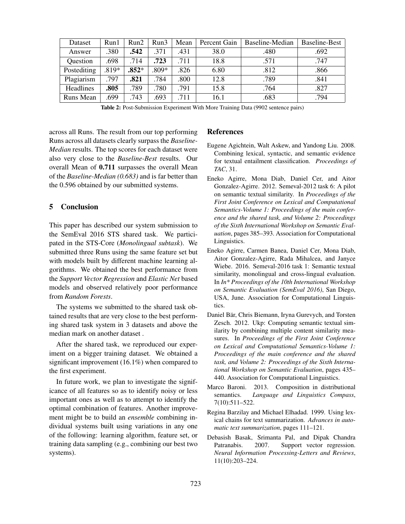| Dataset          | Run1    | Run2    | Run3  | Mean | Percent Gain | Baseline-Median | Baseline-Best |
|------------------|---------|---------|-------|------|--------------|-----------------|---------------|
| Answer           | 380     | .542    | .371  | .431 | 38.0         | .480            | .692          |
| Question         | .698    | .714    | .723  | .711 | 18.8         | .571            | .747          |
| Postediting      | $.819*$ | $.852*$ | .809* | .826 | 6.80         | .812            | .866          |
| Plagiarism       | .797    | .821    | .784  | .800 | 12.8         | .789            | .841          |
| <b>Headlines</b> | .805    | .789    | .780  | .791 | 15.8         | .764            | .827          |
| Runs Mean        | .699    | .743    | .693  | .711 | 16.1         | .683            | .794          |

Table 2: Post-Submission Experiment With More Training Data (9902 sentence pairs)

across all Runs. The result from our top performing Runs across all datasets clearly surpass the *Baseline-Median* results. The top scores for each dataset were also very close to the *Baseline-Best* results. Our overall Mean of 0.711 surpasses the overall Mean of the *Baseline-Median (0.683)* and is far better than the 0.596 obtained by our submitted systems.

# 5 Conclusion

This paper has described our system submission to the SemEval 2016 STS shared task. We participated in the STS-Core (*Monolingual subtask*). We submitted three Runs using the same feature set but with models built by different machine learning algorithms. We obtained the best performance from the *Support Vector Regression* and *Elastic Net* based models and observed relatively poor performance from *Random Forests*.

The systems we submitted to the shared task obtained results that are very close to the best performing shared task system in 3 datasets and above the median mark on another dataset .

After the shared task, we reproduced our experiment on a bigger training dataset. We obtained a significant improvement (16.1%) when compared to the first experiment.

In future work, we plan to investigate the significance of all features so as to identify noisy or less important ones as well as to attempt to identify the optimal combination of features. Another improvement might be to build an *ensemble* combining individual systems built using variations in any one of the following: learning algorithm, feature set, or training data sampling (e.g., combining our best two systems).

# **References**

- Eugene Agichtein, Walt Askew, and Yandong Liu. 2008. Combining lexical, syntactic, and semantic evidence for textual entailment classification. *Proceedings of TAC*, 31.
- Eneko Agirre, Mona Diab, Daniel Cer, and Aitor Gonzalez-Agirre. 2012. Semeval-2012 task 6: A pilot on semantic textual similarity. In *Proceedings of the First Joint Conference on Lexical and Computational Semantics-Volume 1: Proceedings of the main conference and the shared task, and Volume 2: Proceedings of the Sixth International Workshop on Semantic Evaluation*, pages 385–393. Association for Computational Linguistics.
- Eneko Agirre, Carmen Banea, Daniel Cer, Mona Diab, Aitor Gonzalez-Agirre, Rada Mihalcea, and Janyce Wiebe. 2016. Semeval-2016 task 1: Semantic textual similarity, monolingual and cross-lingual evaluation. In *In\* Proceedings of the 10th International Workshop on Semantic Evaluation (SemEval 2016)*, San Diego, USA, June. Association for Computational Linguistics.
- Daniel Bär, Chris Biemann, Iryna Gurevych, and Torsten Zesch. 2012. Ukp: Computing semantic textual similarity by combining multiple content similarity measures. In *Proceedings of the First Joint Conference on Lexical and Computational Semantics-Volume 1: Proceedings of the main conference and the shared task, and Volume 2: Proceedings of the Sixth International Workshop on Semantic Evaluation*, pages 435– 440. Association for Computational Linguistics.
- Marco Baroni. 2013. Composition in distributional semantics. *Language and Linguistics Compass*, 7(10):511–522.
- Regina Barzilay and Michael Elhadad. 1999. Using lexical chains for text summarization. *Advances in automatic text summarization*, pages 111–121.
- Debasish Basak, Srimanta Pal, and Dipak Chandra Patranabis. 2007. Support vector regression. *Neural Information Processing-Letters and Reviews*, 11(10):203–224.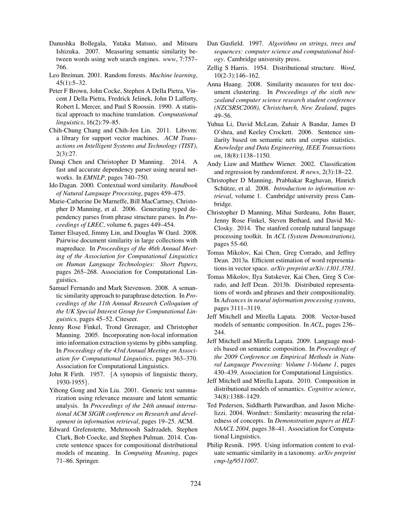- Danushka Bollegala, Yutaka Matsuo, and Mitsuru Ishizuka. 2007. Measuring semantic similarity between words using web search engines. *www*, 7:757– 766.
- Leo Breiman. 2001. Random forests. *Machine learning*, 45(1):5–32.
- Peter F Brown, John Cocke, Stephen A Della Pietra, Vincent J Della Pietra, Fredrick Jelinek, John D Lafferty, Robert L Mercer, and Paul S Roossin. 1990. A statistical approach to machine translation. *Computational linguistics*, 16(2):79–85.
- Chih-Chung Chang and Chih-Jen Lin. 2011. Libsvm: a library for support vector machines. *ACM Transactions on Intelligent Systems and Technology (TIST)*, 2(3):27.
- Danqi Chen and Christopher D Manning. 2014. A fast and accurate dependency parser using neural networks. In *EMNLP*, pages 740–750.
- Ido Dagan. 2000. Contextual word similarity. *Handbook of Natural Language Processing*, pages 459–475.
- Marie-Catherine De Marneffe, Bill MacCartney, Christopher D Manning, et al. 2006. Generating typed dependency parses from phrase structure parses. In *Proceedings of LREC*, volume 6, pages 449–454.
- Tamer Elsayed, Jimmy Lin, and Douglas W Oard. 2008. Pairwise document similarity in large collections with mapreduce. In *Proceedings of the 46th Annual Meeting of the Association for Computational Linguistics on Human Language Technologies: Short Papers*, pages 265–268. Association for Computational Linguistics.
- Samuel Fernando and Mark Stevenson. 2008. A semantic similarity approach to paraphrase detection. In *Proceedings of the 11th Annual Research Colloquium of the UK Special Interest Group for Computational Linguistics*, pages 45–52. Citeseer.
- Jenny Rose Finkel, Trond Grenager, and Christopher Manning. 2005. Incorporating non-local information into information extraction systems by gibbs sampling. In *Proceedings of the 43rd Annual Meeting on Association for Computational Linguistics*, pages 363–370. Association for Computational Linguistics.
- John R Firth. 1957. {A synopsis of linguistic theory, 1930-1955}.
- Yihong Gong and Xin Liu. 2001. Generic text summarization using relevance measure and latent semantic analysis. In *Proceedings of the 24th annual international ACM SIGIR conference on Research and development in information retrieval*, pages 19–25. ACM.
- Edward Grefenstette, Mehrnoosh Sadrzadeh, Stephen Clark, Bob Coecke, and Stephen Pulman. 2014. Concrete sentence spaces for compositional distributional models of meaning. In *Computing Meaning*, pages 71–86. Springer.
- Dan Gusfield. 1997. *Algorithms on strings, trees and sequences: computer science and computational biology*. Cambridge university press.
- Zellig S Harris. 1954. Distributional structure. *Word*, 10(2-3):146–162.
- Anna Huang. 2008. Similarity measures for text document clustering. In *Proceedings of the sixth new zealand computer science research student conference (NZCSRSC2008), Christchurch, New Zealand*, pages 49–56.
- Yuhua Li, David McLean, Zuhair A Bandar, James D O'shea, and Keeley Crockett. 2006. Sentence similarity based on semantic nets and corpus statistics. *Knowledge and Data Engineering, IEEE Transactions on*, 18(8):1138–1150.
- Andy Liaw and Matthew Wiener. 2002. Classification and regression by randomforest. *R news*, 2(3):18–22.
- Christopher D Manning, Prabhakar Raghavan, Hinrich Schütze, et al. 2008. Introduction to information re*trieval*, volume 1. Cambridge university press Cambridge.
- Christopher D Manning, Mihai Surdeanu, John Bauer, Jenny Rose Finkel, Steven Bethard, and David Mc-Closky. 2014. The stanford corenlp natural language processing toolkit. In *ACL (System Demonstrations)*, pages 55–60.
- Tomas Mikolov, Kai Chen, Greg Corrado, and Jeffrey Dean. 2013a. Efficient estimation of word representations in vector space. *arXiv preprint arXiv:1301.3781*.
- Tomas Mikolov, Ilya Sutskever, Kai Chen, Greg S Corrado, and Jeff Dean. 2013b. Distributed representations of words and phrases and their compositionality. In *Advances in neural information processing systems*, pages 3111–3119.
- Jeff Mitchell and Mirella Lapata. 2008. Vector-based models of semantic composition. In *ACL*, pages 236– 244.
- Jeff Mitchell and Mirella Lapata. 2009. Language models based on semantic composition. In *Proceedings of the 2009 Conference on Empirical Methods in Natural Language Processing: Volume 1-Volume 1*, pages 430–439. Association for Computational Linguistics.
- Jeff Mitchell and Mirella Lapata. 2010. Composition in distributional models of semantics. *Cognitive science*, 34(8):1388–1429.
- Ted Pedersen, Siddharth Patwardhan, and Jason Michelizzi. 2004. Wordnet:: Similarity: measuring the relatedness of concepts. In *Demonstration papers at HLT-NAACL 2004*, pages 38–41. Association for Computational Linguistics.
- Philip Resnik. 1995. Using information content to evaluate semantic similarity in a taxonomy. *arXiv preprint cmp-lg/9511007*.